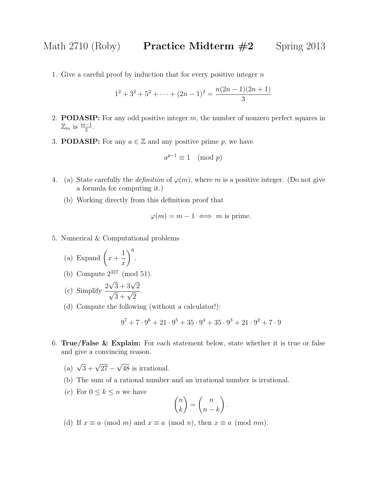1. Give a careful proof by induction that for every positive integer  $n$ 

$$
1^{2} + 3^{2} + 5^{2} + \dots + (2n - 1)^{2} = \frac{n(2n - 1)(2n + 1)}{3}
$$

- 2. **PODASIP:** For any odd positive integer  $m$ , the number of nonzero perfect squares in  $\mathbb{Z}_m$  is  $\frac{m-1}{2}$ .
- 3. **PODASIP:** For any  $a \in \mathbb{Z}$  and any positive prime p, we have

$$
a^{p-1} \equiv 1 \pmod{p}
$$

- 4. (a) State carefully the *definition* of  $\varphi(m)$ , where m is a positive integer. (Do not give a formula for computing it.)
	- (b) Working directly from this definition proof that

$$
\varphi(m) = m - 1 \iff m
$$
 is prime.

- 5. Numerical & Computational problems
	- (a) Expand  $\left(x + \frac{1}{x}\right)$ 1  $\overline{x}$  $\setminus^6$ .
	- (b) Compute  $2^{327}$  (mod 51).
	- (c) Simplify  $\frac{2}{ }$  $\sqrt{3} + 3\sqrt{2}$ <br> $\sqrt{3} + \sqrt{2}$ .
	- (d) Compute the following (without a calculator!):

$$
9^7 + 7 \cdot 9^6 + 21 \cdot 9^5 + 35 \cdot 9^4 + 35 \cdot 9^3 + 21 \cdot 9^2 + 7 \cdot 9
$$

- 6. True/False & Explain: For each statement below, state whether it is true or false and give a convincing reason.
	- (a)  $\sqrt{3} + \sqrt{27}$  √ 48 is irrational.
	- (b) The sum of a rational number and an irrational number is irrational.
	- (c) For  $0 \leq k \leq n$  we have

$$
\binom{n}{k} = \binom{n}{n-k}.
$$

(d) If  $x \equiv a \pmod{m}$  and  $x \equiv a \pmod{n}$ , then  $x \equiv a \pmod{mn}$ .